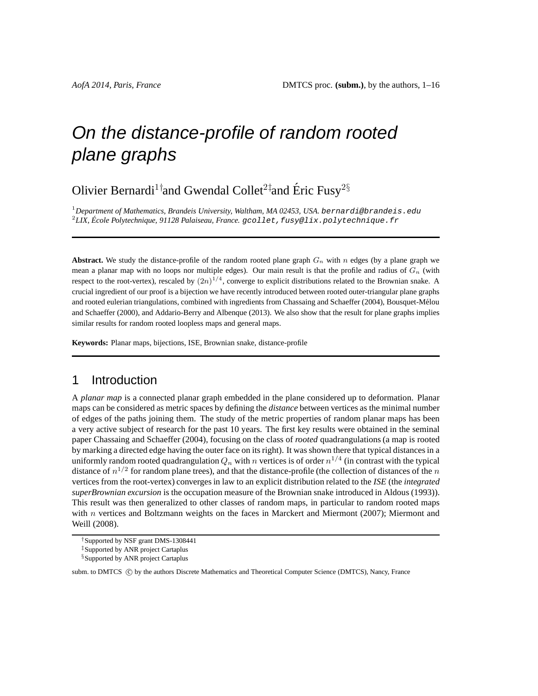# On the distance-profile of random rooted plane graphs

Olivier Bernardi<sup>1†</sup>and Gwendal Collet<sup>2‡</sup>and Éric Fusy<sup>2§</sup>

<sup>1</sup>*Department of Mathematics, Brandeis University, Waltham, MA 02453, USA.* bernardi@brandeis.edu <sup>2</sup>*LIX, Ecole Polytechnique, 91128 Palaiseau, France. ´* gcollet,fusy@lix.polytechnique.fr

**Abstract.** We study the distance-profile of the random rooted plane graph  $G_n$  with n edges (by a plane graph we mean a planar map with no loops nor multiple edges). Our main result is that the profile and radius of  $G_n$  (with respect to the root-vertex), rescaled by  $(2n)^{1/4}$ , converge to explicit distributions related to the Brownian snake. A crucial ingredient of our proof is a bijection we have recently introduced between rooted outer-triangular plane graphs and rooted eulerian triangulations, combined with ingredients from Chassaing and Schaeffer (2004), Bousquet-Mélou and Schaeffer (2000), and Addario-Berry and Albenque (2013). We also show that the result for plane graphs implies similar results for random rooted loopless maps and general maps.

**Keywords:** Planar maps, bijections, ISE, Brownian snake, distance-profile

# 1 Introduction

A *planar map* is a connected planar graph embedded in the plane considered up to deformation. Planar maps can be considered as metric spaces by defining the *distance* between vertices as the minimal number of edges of the paths joining them. The study of the metric properties of random planar maps has been a very active subject of research for the past 10 years. The first key results were obtained in the seminal paper Chassaing and Schaeffer (2004), focusing on the class of *rooted* quadrangulations (a map is rooted by marking a directed edge having the outer face on its right). It was shown there that typical distances in a uniformly random rooted quadrangulation  $Q_n$  with  $n$  vertices is of order  $n^{1/4}$  (in contrast with the typical distance of  $n^{1/2}$  for random plane trees), and that the distance-profile (the collection of distances of the  $n$ vertices from the root-vertex) converges in law to an explicit distribution related to the *ISE* (the *integrated superBrownian excursion* is the occupation measure of the Brownian snake introduced in Aldous (1993)). This result was then generalized to other classes of random maps, in particular to random rooted maps with n vertices and Boltzmann weights on the faces in Marckert and Miermont (2007); Miermont and Weill (2008).

<sup>†</sup>Supported by NSF grant DMS-1308441

<sup>‡</sup>Supported by ANR project Cartaplus

<sup>§</sup>Supported by ANR project Cartaplus

subm. to DMTCS (C) by the authors Discrete Mathematics and Theoretical Computer Science (DMTCS), Nancy, France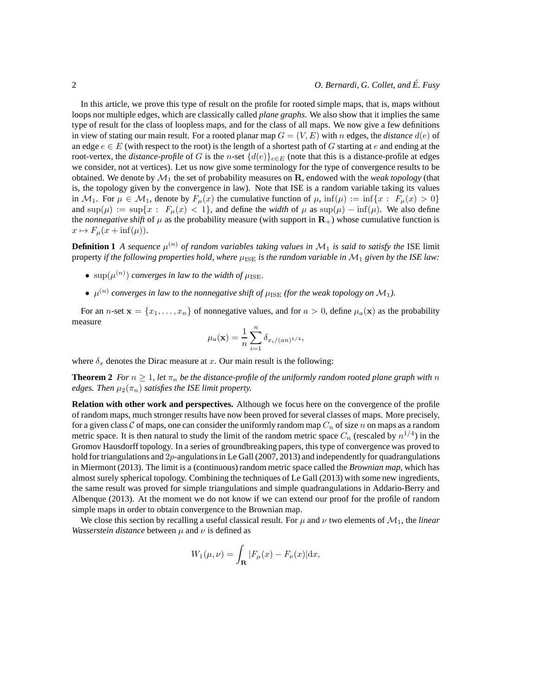In this article, we prove this type of result on the profile for rooted simple maps, that is, maps without loops nor multiple edges, which are classically called *plane graphs*. We also show that it implies the same type of result for the class of loopless maps, and for the class of all maps. We now give a few definitions in view of stating our main result. For a rooted planar map  $G = (V, E)$  with n edges, the *distance*  $d(e)$  of an edge  $e \in E$  (with respect to the root) is the length of a shortest path of G starting at e and ending at the root-vertex, the *distance-profile* of G is the n-set  $\{d(e)\}_{e \in E}$  (note that this is a distance-profile at edges we consider, not at vertices). Let us now give some terminology for the type of convergence results to be obtained. We denote by  $\mathcal{M}_1$  the set of probability measures on  $\mathbf{R}$ , endowed with the *weak topology* (that is, the topology given by the convergence in law). Note that ISE is a random variable taking its values in  $M_1$ . For  $\mu \in M_1$ , denote by  $F_{\mu}(x)$  the cumulative function of  $\mu$ ,  $\inf(\mu) := \inf\{x : F_{\mu}(x) > 0\}$ and  $\sup(\mu) := \sup\{x : F_{\mu}(x) < 1\}$ , and define the *width* of  $\mu$  as  $\sup(\mu) - \inf(\mu)$ . We also define the *nonnegative shift* of  $\mu$  as the probability measure (with support in  $\mathbf{R}_{+}$ ) whose cumulative function is  $x \mapsto F_{\mu}(x + \inf(\mu)).$ 

**Definition 1** *A sequence*  $\mu^{(n)}$  *of random variables taking values in*  $M_1$  *is said to satisfy the* ISE limit property *if the following properties hold, where*  $\mu_{\text{ISE}}$  *is the random variable in*  $M_1$  *given by the ISE law:* 

- $\sup(\mu^{(n)})$  *converges in law to the width of*  $\mu_{\text{ISE}}$ *.*
- $\mu^{(n)}$  converges in law to the nonnegative shift of  $\mu_{\rm{ISE}}$  (for the weak topology on  $\mathcal{M}_1$ ).

For an n-set  $\mathbf{x} = \{x_1, \ldots, x_n\}$  of nonnegative values, and for  $a > 0$ , define  $\mu_a(\mathbf{x})$  as the probability measure

$$
\mu_a(\mathbf{x}) = \frac{1}{n} \sum_{i=1}^n \delta_{x_i/(an)^{1/4}},
$$

where  $\delta_x$  denotes the Dirac measure at x. Our main result is the following:

**Theorem 2** *For*  $n \geq 1$ *, let*  $\pi_n$  *be the distance-profile of the uniformly random rooted plane graph with* n *edges. Then*  $\mu_2(\pi_n)$  *satisfies the ISE limit property.* 

**Relation with other work and perspectives.** Although we focus here on the convergence of the profile of random maps, much stronger results have now been proved for several classes of maps. More precisely, for a given class C of maps, one can consider the uniformly random map  $C_n$  of size n on maps as a random metric space. It is then natural to study the limit of the random metric space  $C_n$  (rescaled by  $n^{1/4}$ ) in the Gromov Hausdorff topology. In a series of groundbreaking papers, this type of convergence was proved to hold for triangulations and  $2p$ -angulations in Le Gall (2007, 2013) and independently for quadrangulations in Miermont (2013). The limit is a (continuous) random metric space called the *Brownian map*, which has almost surely spherical topology. Combining the techniques of Le Gall (2013) with some new ingredients, the same result was proved for simple triangulations and simple quadrangulations in Addario-Berry and Albenque (2013). At the moment we do not know if we can extend our proof for the profile of random simple maps in order to obtain convergence to the Brownian map.

We close this section by recalling a useful classical result. For  $\mu$  and  $\nu$  two elements of  $\mathcal{M}_1$ , the *linear Wasserstein distance* between  $\mu$  and  $\nu$  is defined as

$$
W_1(\mu,\nu) = \int_{\mathbf{R}} |F_{\mu}(x) - F_{\nu}(x)| dx,
$$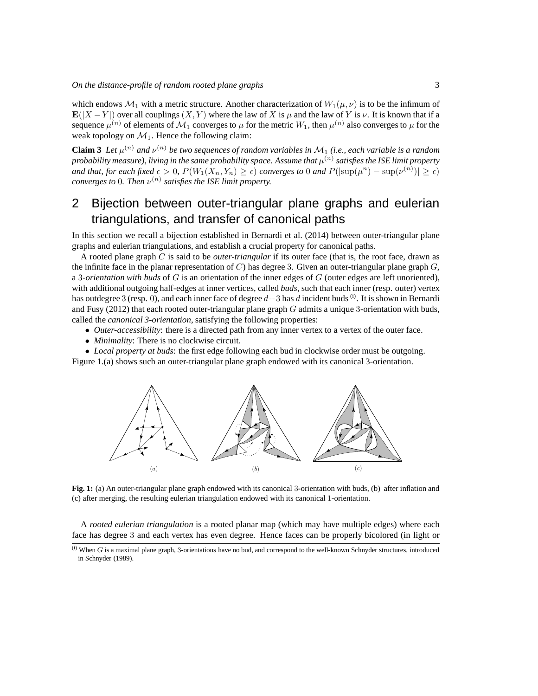which endows  $\mathcal{M}_1$  with a metric structure. Another characterization of  $W_1(\mu, \nu)$  is to be the infimum of  $\mathbf{E}(|X - Y|)$  over all couplings  $(X, Y)$  where the law of X is  $\mu$  and the law of Y is  $\nu$ . It is known that if a sequence  $\mu^{(n)}$  of elements of  $\mathcal{M}_1$  converges to  $\mu$  for the metric  $W_1$ , then  $\mu^{(n)}$  also converges to  $\mu$  for the weak topology on  $\mathcal{M}_1$ . Hence the following claim:

**Claim 3** Let  $\mu^{(n)}$  and  $\nu^{(n)}$  be two sequences of random variables in  $\mathcal{M}_1$  (i.e., each variable is a random probability measure), living in the same probability space. Assume that  $\mu^{(n)}$  satisfies the ISE limit property *and that, for each fixed*  $\epsilon > 0$ ,  $P(W_1(X_n, Y_n) \geq \epsilon)$  *converges to* 0 *and*  $P(|\text{sup}(\mu^n) - \text{sup}(\nu^{(n)})| \geq \epsilon)$ *converges to* 0. Then  $\nu^{(n)}$  satisfies the ISE limit property.

# 2 Bijection between outer-triangular plane graphs and eulerian triangulations, and transfer of canonical paths

In this section we recall a bijection established in Bernardi et al. (2014) between outer-triangular plane graphs and eulerian triangulations, and establish a crucial property for canonical paths.

A rooted plane graph C is said to be *outer-triangular* if its outer face (that is, the root face, drawn as the infinite face in the planar representation of C) has degree 3. Given an outer-triangular plane graph  $G$ , a 3*-orientation with buds* of G is an orientation of the inner edges of G (outer edges are left unoriented), with additional outgoing half-edges at inner vertices, called *buds*, such that each inner (resp. outer) vertex has outdegree 3 (resp. 0), and each inner face of degree  $d+3$  has d incident buds<sup>(i)</sup>. It is shown in Bernardi and Fusy (2012) that each rooted outer-triangular plane graph  $G$  admits a unique 3-orientation with buds, called the *canonical 3-orientation*, satisfying the following properties:

- *Outer-accessibility*: there is a directed path from any inner vertex to a vertex of the outer face.
- *Minimality*: There is no clockwise circuit.

• *Local property at buds*: the first edge following each bud in clockwise order must be outgoing. Figure 1.(a) shows such an outer-triangular plane graph endowed with its canonical 3-orientation.



**Fig. 1:** (a) An outer-triangular plane graph endowed with its canonical 3-orientation with buds, (b) after inflation and (c) after merging, the resulting eulerian triangulation endowed with its canonical 1-orientation.

A *rooted eulerian triangulation* is a rooted planar map (which may have multiple edges) where each face has degree 3 and each vertex has even degree. Hence faces can be properly bicolored (in light or

 $^{(i)}$  When  $G$  is a maximal plane graph, 3-orientations have no bud, and correspond to the well-known Schnyder structures, introduced in Schnyder (1989).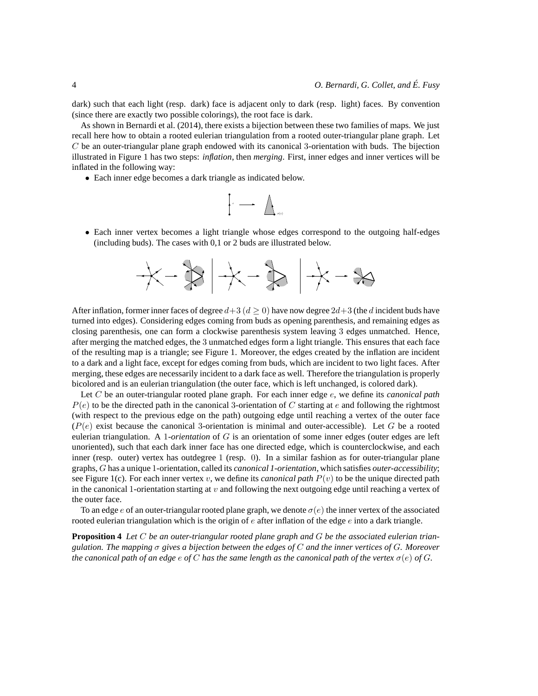dark) such that each light (resp. dark) face is adjacent only to dark (resp. light) faces. By convention (since there are exactly two possible colorings), the root face is dark.

As shown in Bernardi et al. (2014), there exists a bijection between these two families of maps. We just recall here how to obtain a rooted eulerian triangulation from a rooted outer-triangular plane graph. Let  $C$  be an outer-triangular plane graph endowed with its canonical 3-orientation with buds. The bijection illustrated in Figure 1 has two steps: *inflation*, then *merging*. First, inner edges and inner vertices will be inflated in the following way:

• Each inner edge becomes a dark triangle as indicated below.

$$
\Bigg\{\cdot \begin{array}{c} \\\ \\ \ \\ \ \\ \end{array} \Bigg\} \longrightarrow \quad \ \ \bigwedge_{\sigma(e)}\quad \ \ \,
$$

• Each inner vertex becomes a light triangle whose edges correspond to the outgoing half-edges (including buds). The cases with 0,1 or 2 buds are illustrated below.

$$
+\!\!\times\!\!\!\times\!\!\!\!\times\!\!\!\!\times\!\!\!\!\times\!\!\!\!\times\!\!\!\!\times
$$

After inflation, former inner faces of degree  $d+3$  ( $d > 0$ ) have now degree  $2d+3$  (the d incident buds have turned into edges). Considering edges coming from buds as opening parenthesis, and remaining edges as closing parenthesis, one can form a clockwise parenthesis system leaving 3 edges unmatched. Hence, after merging the matched edges, the 3 unmatched edges form a light triangle. This ensures that each face of the resulting map is a triangle; see Figure 1. Moreover, the edges created by the inflation are incident to a dark and a light face, except for edges coming from buds, which are incident to two light faces. After merging, these edges are necessarily incident to a dark face as well. Therefore the triangulation is properly bicolored and is an eulerian triangulation (the outer face, which is left unchanged, is colored dark).

Let C be an outer-triangular rooted plane graph. For each inner edge e, we define its *canonical path*  $P(e)$  to be the directed path in the canonical 3-orientation of C starting at e and following the rightmost (with respect to the previous edge on the path) outgoing edge until reaching a vertex of the outer face  $(P(e))$  exist because the canonical 3-orientation is minimal and outer-accessible). Let G be a rooted eulerian triangulation. A 1*-orientation* of G is an orientation of some inner edges (outer edges are left unoriented), such that each dark inner face has one directed edge, which is counterclockwise, and each inner (resp. outer) vertex has outdegree 1 (resp. 0). In a similar fashion as for outer-triangular plane graphs, G has a unique 1-orientation, called its *canonical 1-orientation*, which satisfies *outer-accessibility*; see Figure 1(c). For each inner vertex v, we define its *canonical path*  $P(v)$  to be the unique directed path in the canonical 1-orientation starting at  $v$  and following the next outgoing edge until reaching a vertex of the outer face.

To an edge e of an outer-triangular rooted plane graph, we denote  $\sigma(e)$  the inner vertex of the associated rooted eulerian triangulation which is the origin of  $e$  after inflation of the edge  $e$  into a dark triangle.

**Proposition 4** *Let* C *be an outer-triangular rooted plane graph and* G *be the associated eulerian triangulation. The mapping* σ *gives a bijection between the edges of* C *and the inner vertices of* G*. Moreover the canonical path of an edge*  $e$  *of* C *has the same length as the canonical path of the vertex*  $\sigma(e)$  *of* G.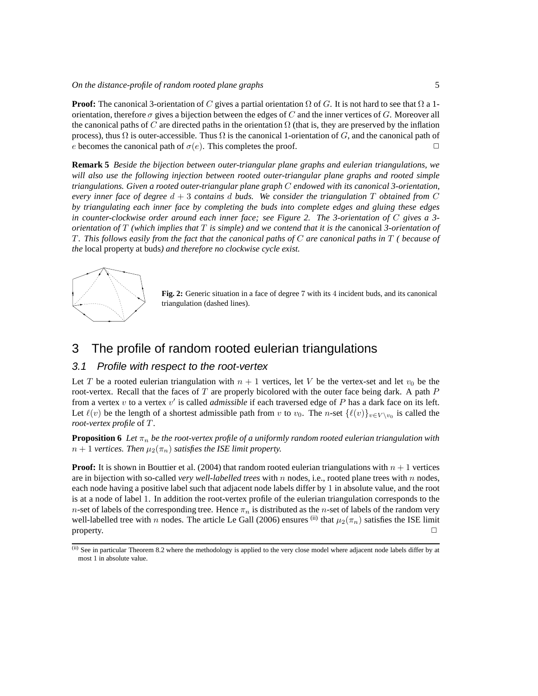**Proof:** The canonical 3-orientation of C gives a partial orientation  $\Omega$  of G. It is not hard to see that  $\Omega$  a 1orientation, therefore  $\sigma$  gives a bijection between the edges of C and the inner vertices of G. Moreover all the canonical paths of C are directed paths in the orientation  $\Omega$  (that is, they are preserved by the inflation process), thus  $\Omega$  is outer-accessible. Thus  $\Omega$  is the canonical 1-orientation of G, and the canonical path of e becomes the canonical path of  $\sigma(e)$ . This completes the proof.

**Remark 5** *Beside the bijection between outer-triangular plane graphs and eulerian triangulations, we will also use the following injection between rooted outer-triangular plane graphs and rooted simple triangulations. Given a rooted outer-triangular plane graph* C *endowed with its canonical 3-orientation, every inner face of degree* d + 3 *contains* d *buds. We consider the triangulation* T *obtained from* C *by triangulating each inner face by completing the buds into complete edges and gluing these edges in counter-clockwise order around each inner face; see Figure 2. The 3-orientation of* C *gives a 3 orientation of* T *(which implies that* T *is simple) and we contend that it is the* canonical *3-orientation of* T *. This follows easily from the fact that the canonical paths of* C *are canonical paths in* T *( because of the* local property at buds*) and therefore no clockwise cycle exist.*



**Fig. 2:** Generic situation in a face of degree 7 with its 4 incident buds, and its canonical triangulation (dashed lines).

# 3 The profile of random rooted eulerian triangulations

#### 3.1 Profile with respect to the root-vertex

Let T be a rooted eulerian triangulation with  $n + 1$  vertices, let V be the vertex-set and let  $v_0$  be the root-vertex. Recall that the faces of  $T$  are properly bicolored with the outer face being dark. A path  $P$ from a vertex v to a vertex v' is called *admissible* if each traversed edge of P has a dark face on its left. Let  $\ell(v)$  be the length of a shortest admissible path from v to  $v_0$ . The n-set  $\{\ell(v)\}_{v \in V \setminus v_0}$  is called the *root-vertex profile* of T .

**Proposition 6** Let  $\pi_n$  be the root-vertex profile of a uniformly random rooted eulerian triangulation with  $n + 1$  *vertices. Then*  $\mu_2(\pi_n)$  *satisfies the ISE limit property.* 

**Proof:** It is shown in Bouttier et al. (2004) that random rooted eulerian triangulations with  $n + 1$  vertices are in bijection with so-called *very well-labelled trees* with n nodes, i.e., rooted plane trees with n nodes, each node having a positive label such that adjacent node labels differ by 1 in absolute value, and the root is at a node of label 1. In addition the root-vertex profile of the eulerian triangulation corresponds to the n-set of labels of the corresponding tree. Hence  $\pi_n$  is distributed as the n-set of labels of the random very well-labelled tree with n nodes. The article Le Gall (2006) ensures (ii) that  $\mu_2(\pi_n)$  satisfies the ISE limit property.  $\Box$ 

<sup>(</sup>ii) See in particular Theorem 8.2 where the methodology is applied to the very close model where adjacent node labels differ by at most 1 in absolute value.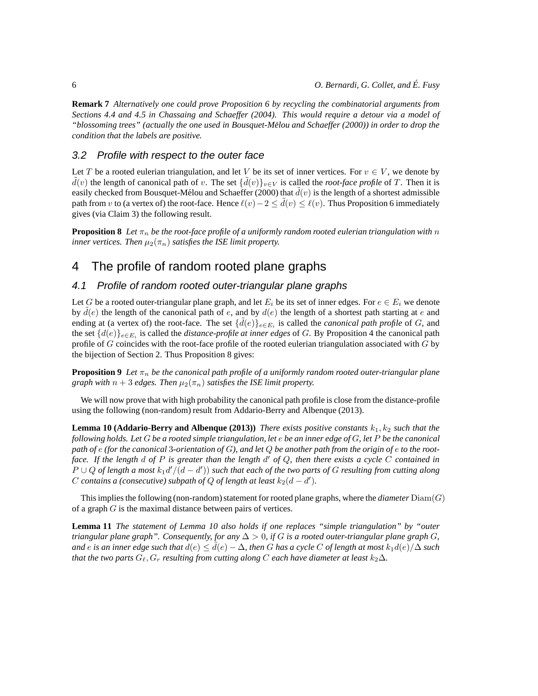**Remark 7** *Alternatively one could prove Proposition 6 by recycling the combinatorial arguments from Sections 4.4 and 4.5 in Chassaing and Schaeffer (2004). This would require a detour via a model of "blossoming trees" (actually the one used in Bousquet-Melou and Schaeffer (2000)) in order to drop the ´ condition that the labels are positive.*

#### 3.2 Profile with respect to the outer face

Let T be a rooted eulerian triangulation, and let V be its set of inner vertices. For  $v \in V$ , we denote by  $\tilde{d}(v)$  the length of canonical path of v. The set  $\{\tilde{d}(v)\}_{v\in V}$  is called the *root-face profile* of T. Then it is easily checked from Bousquet-Mélou and Schaeffer (2000) that  $\tilde{d}(v)$  is the length of a shortest admissible path from v to (a vertex of) the root-face. Hence  $\ell(v)-2 \leq d(v) \leq \ell(v)$ . Thus Proposition 6 immediately gives (via Claim 3) the following result.

**Proposition 8** Let  $\pi_n$  be the root-face profile of a uniformly random rooted eulerian triangulation with n *inner vertices. Then*  $\mu_2(\pi_n)$  *satisfies the ISE limit property.* 

# 4 The profile of random rooted plane graphs

#### 4.1 Profile of random rooted outer-triangular plane graphs

Let G be a rooted outer-triangular plane graph, and let  $E_i$  be its set of inner edges. For  $e \in E_i$  we denote by  $d(e)$  the length of the canonical path of e, and by  $d(e)$  the length of a shortest path starting at e and ending at (a vertex of) the root-face. The set  $\{\tilde{d}(e)\}_{e \in E_i}$  is called the *canonical path profile* of G, and the set  $\{d(e)\}_{e \in E_i}$  is called the *distance-profile at inner edges* of G. By Proposition 4 the canonical path profile of  $G$  coincides with the root-face profile of the rooted eulerian triangulation associated with  $G$  by the bijection of Section 2. Thus Proposition 8 gives:

**Proposition 9** *Let*  $\pi_n$  *be the canonical path profile of a uniformly random rooted outer-triangular plane graph with*  $n + 3$  *edges. Then*  $\mu_2(\pi_n)$  *satisfies the ISE limit property.* 

We will now prove that with high probability the canonical path profile is close from the distance-profile using the following (non-random) result from Addario-Berry and Albenque (2013).

**Lemma 10 (Addario-Berry and Albenque (2013))** *There exists positive constants*  $k_1, k_2$  *such that the following holds. Let* G *be a rooted simple triangulation, let* e *be an inner edge of* G*, let* P *be the canonical path of* e *(for the canonical* 3*-orientation of* G*), and let* Q *be another path from the origin of* e *to the rootface. If the length* d *of* P *is greater than the length* d ′ *of* Q*, then there exists a cycle* C *contained in*  $P ∪ Q$  *of length a most*  $k_1 d'/(d - d')$  *such that each of the two parts of*  $G$  *resulting from cutting along*  $C$  *contains a (consecutive) subpath of Q of length at least*  $k_2(d - d')$ .

This implies the following (non-random) statement for rooted plane graphs, where the *diameter* Diam(G) of a graph G is the maximal distance between pairs of vertices.

**Lemma 11** *The statement of Lemma 10 also holds if one replaces "simple triangulation" by "outer triangular plane graph". Consequently, for any*  $\Delta > 0$ , *if* G *is a rooted outer-triangular plane graph* G, *and* e is an inner edge such that  $d(e) \leq d(e) - \Delta$ , then G has a cycle C of length at most  $k_1d(e)/\Delta$  such *that the two parts*  $G_{\ell}, G_r$  *resulting from cutting along* C *each have diameter at least*  $k_2\Delta$ *.*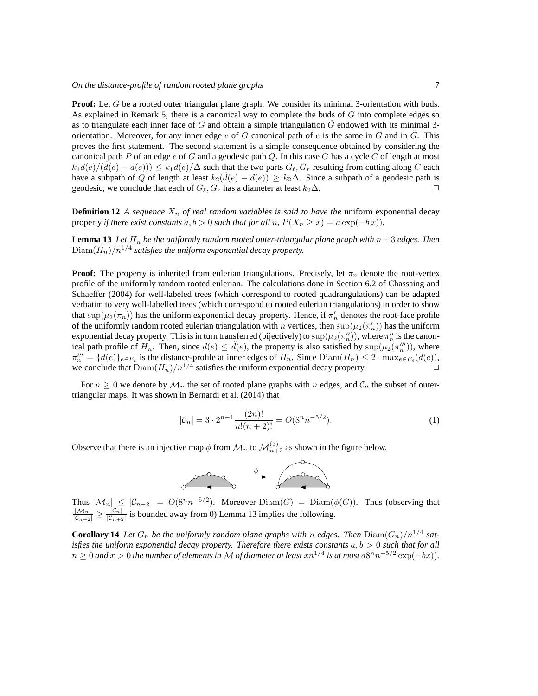**Proof:** Let G be a rooted outer triangular plane graph. We consider its minimal 3-orientation with buds. As explained in Remark 5, there is a canonical way to complete the buds of  $G$  into complete edges so as to triangulate each inner face of G and obtain a simple triangulation  $\tilde{G}$  endowed with its minimal 3orientation. Moreover, for any inner edge e of G canonical path of e is the same in G and in  $\ddot{G}$ . This proves the first statement. The second statement is a simple consequence obtained by considering the canonical path P of an edge e of G and a geodesic path Q. In this case G has a cycle C of length at most  $k_1d(e)/(\tilde{d}(e)-d(e))) \leq k_1d(e)/\Delta$  such that the two parts  $G_{\ell}, G_r$  resulting from cutting along C each have a subpath of Q of length at least  $k_2(\tilde{d}(e) - d(e)) \geq k_2\Delta$ . Since a subpath of a geodesic path is geodesic, we conclude that each of  $G_e$ ,  $G_e$  has a diameter at least  $k_2\Delta$ . geodesic, we conclude that each of  $G_{\ell}, G_r$  has a diameter at least  $k_2\Delta$ .

**Definition 12** A sequence  $X_n$  of real random variables is said to have the uniform exponential decay property *if there exist constants*  $a, b > 0$  *such that for all*  $n$ ,  $P(X_n \ge x) = a \exp(-bx)$ *.* 

**Lemma 13** Let  $H_n$  be the uniformly random rooted outer-triangular plane graph with  $n+3$  edges. Then  $\mathrm{Diam}(H_n)/n^{1/4}$  satisfies the uniform exponential decay property.

**Proof:** The property is inherited from eulerian triangulations. Precisely, let  $\pi_n$  denote the root-vertex profile of the uniformly random rooted eulerian. The calculations done in Section 6.2 of Chassaing and Schaeffer (2004) for well-labeled trees (which correspond to rooted quadrangulations) can be adapted verbatim to very well-labelled trees (which correspond to rooted eulerian triangulations) in order to show that  $\sup(\mu_2(\pi_n))$  has the uniform exponential decay property. Hence, if  $\pi'_n$  denotes the root-face profile of the uniformly random rooted eulerian triangulation with n vertices, then  $\sup(\mu_2(\pi'_n))$  has the uniform exponential decay property. This is in turn transferred (bijectively) to  $\sup(\mu_2(\pi''_n))$ , where  $\pi''_n$  is the canonical path profile of  $H_n$ . Then, since  $d(e) \leq d(e)$ , the property is also satisfied by  $\sup(\mu_2(\pi''_n))$ , where  $\pi_n''' = \{d(e)\}_{e \in E_i}$  is the distance-profile at inner edges of  $H_n$ . Since  $Diam(H_n) \leq 2 \cdot max_{e \in E_i}(d(e)),$ we conclude that  $Diam(H_n)/n^{1/4}$  satisfies the uniform exponential decay property.

For  $n \geq 0$  we denote by  $\mathcal{M}_n$  the set of rooted plane graphs with n edges, and  $\mathcal{C}_n$  the subset of outertriangular maps. It was shown in Bernardi et al. (2014) that

$$
|\mathcal{C}_n| = 3 \cdot 2^{n-1} \frac{(2n)!}{n!(n+2)!} = O(8^n n^{-5/2}).
$$
 (1)

Observe that there is an injective map  $\phi$  from  $\mathcal{M}_n$  to  $\mathcal{M}_{n+2}^{(3)}$  as shown in the figure below.



Thus  $|\mathcal{M}_n| \leq |\mathcal{C}_{n+2}| = O(8^n n^{-5/2})$ . Moreover  $\text{Diam}(G) = \text{Diam}(\phi(G))$ . Thus (observing that  $\frac{|\mathcal{M}_n|}{|\mathcal{C}_{n+2}|} \geq \frac{|\mathcal{C}_n|}{|\mathcal{C}_{n+2}|}$  $\frac{|C_n|}{|C_{n+2}|}$  is bounded away from 0) Lemma 13 implies the following.

**Corollary 14** Let  $G_n$  be the uniformly random plane graphs with n edges. Then  $\text{Diam}(G_n)/n^{1/4}$  sat*isfies the uniform exponential decay property. Therefore there exists constants*  $a, b > 0$  *such that for all*  $n \geq 0$  and  $x > 0$  the number of elements in M of diameter at least  $xn^{1/4}$  is at most  $a8^n n^{-5/2} \exp(-bx)$ ).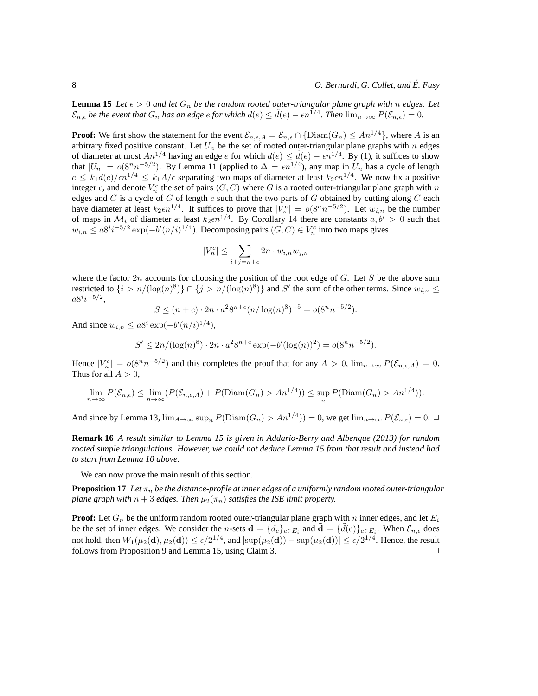**Lemma 15** Let  $\epsilon > 0$  and let  $G_n$  be the random rooted outer-triangular plane graph with n edges. Let  $\mathcal{E}_{n,\epsilon}$  *be the event that*  $G_n$  *has an edge e for which*  $d(e) \leq d(e) - \epsilon n^{1/4}$ . Then  $\lim_{n\to\infty} P(\mathcal{E}_{n,\epsilon}) = 0$ .

**Proof:** We first show the statement for the event  $\mathcal{E}_{n,\epsilon,A} = \mathcal{E}_{n,\epsilon} \cap {\text{Diam}(G_n) \leq An^{1/4}}$ , where A is an arbitrary fixed positive constant. Let  $U_n$  be the set of rooted outer-triangular plane graphs with n edges of diameter at most  $An^{1/4}$  having an edge e for which  $d(e) \leq d(e) - \epsilon n^{1/4}$ . By (1), it suffices to show that  $|U_n| = o(8^n n^{-5/2})$ . By Lemma 11 (applied to  $\Delta = \epsilon n^{1/4}$ ), any map in  $U_n$  has a cycle of length  $c \le k_1 d(e)/\epsilon n^{1/4} \le k_1 A/\epsilon$  separating two maps of diameter at least  $k_2 \epsilon n^{1/4}$ . We now fix a positive integer c, and denote  $V_n^c$  the set of pairs  $(G, C)$  where G is a rooted outer-triangular plane graph with n edges and  $C$  is a cycle of  $G$  of length  $c$  such that the two parts of  $G$  obtained by cutting along  $C$  each have diameter at least  $k_2 \epsilon n^{1/4}$ . It suffices to prove that  $|V_n^c| = o(8^n n^{-5/2})$ . Let  $w_{i,n}$  be the number of maps in  $\mathcal{M}_i$  of diameter at least  $k_2 \epsilon n^{1/4}$ . By Corollary 14 there are constants  $a, b' > 0$  such that  $w_{i,n} \le a 8^{i} i^{-5/2} \exp(-b'(n/i)^{1/4})$ . Decomposing pairs  $(G, C) \in V_n^c$  into two maps gives

$$
|V_n^c| \le \sum_{i+j=n+c} 2n \cdot w_{i,n} w_{j,n}
$$

where the factor  $2n$  accounts for choosing the position of the root edge of G. Let S be the above sum restricted to  $\{i > n/(\log(n)^8)\} \cap \{j > n/(\log(n)^8)\}\$  and S' the sum of the other terms. Since  $w_{i,n} \leq$  $a8^i i^{-5/2},$ 

$$
S \le (n+c) \cdot 2n \cdot a^2 8^{n+c} (n/\log(n)^8)^{-5} = o(8^n n^{-5/2}).
$$

And since  $w_{i,n} \le a 8^i \exp(-b'(n/i)^{1/4}),$ 

$$
S' \le 2n/(\log(n)^8) \cdot 2n \cdot a^2 8^{n+c} \exp(-b'(\log(n))^2) = o(8^n n^{-5/2}).
$$

Hence  $|V_n^c| = o(8^n n^{-5/2})$  and this completes the proof that for any  $A > 0$ ,  $\lim_{n \to \infty} P(\mathcal{E}_{n,\epsilon,A}) = 0$ . Thus for all  $A > 0$ ,

$$
\lim_{n \to \infty} P(\mathcal{E}_{n,\epsilon}) \le \lim_{n \to \infty} (P(\mathcal{E}_{n,\epsilon,A}) + P(\text{Diam}(G_n) > An^{1/4})) \le \sup_n P(\text{Diam}(G_n) > An^{1/4})).
$$

And since by Lemma 13,  $\lim_{A\to\infty} \sup_n P(\text{Diam}(G_n) > An^{1/4})) = 0$ , we get  $\lim_{n\to\infty} P(\mathcal{E}_{n,\epsilon}) = 0$ .  $\Box$ 

**Remark 16** *A result similar to Lemma 15 is given in Addario-Berry and Albenque (2013) for random rooted simple triangulations. However, we could not deduce Lemma 15 from that result and instead had to start from Lemma 10 above.*

We can now prove the main result of this section.

**Proposition 17** *Let*  $\pi_n$  *be the distance-profile at inner edges of a uniformly random rooted outer-triangular plane graph with*  $n + 3$  *edges. Then*  $\mu_2(\pi_n)$  *satisfies the ISE limit property.* 

**Proof:** Let  $G_n$  be the uniform random rooted outer-triangular plane graph with n inner edges, and let  $E_i$ be the set of inner edges. We consider the *n*-sets  $\mathbf{d} = \{d_e\}_{e \in E_i}$  and  $\mathbf{d} = \{\tilde{d}(e)\}_{e \in E_i}$ . When  $\mathcal{E}_{n,\epsilon}$  does not hold, then  $W_1(\mu_2(\mathbf{d}), \mu_2(\mathbf{\tilde{d}})) \leq \epsilon/2^{1/4}$ , and  $|\sup(\mu_2(\mathbf{d})) - \sup(\mu_2(\mathbf{\tilde{d}}))| \leq \epsilon/2^{1/4}$ . Hence, the result follows from Proposition 9 and Lemma 15, using Claim 3.  $\Box$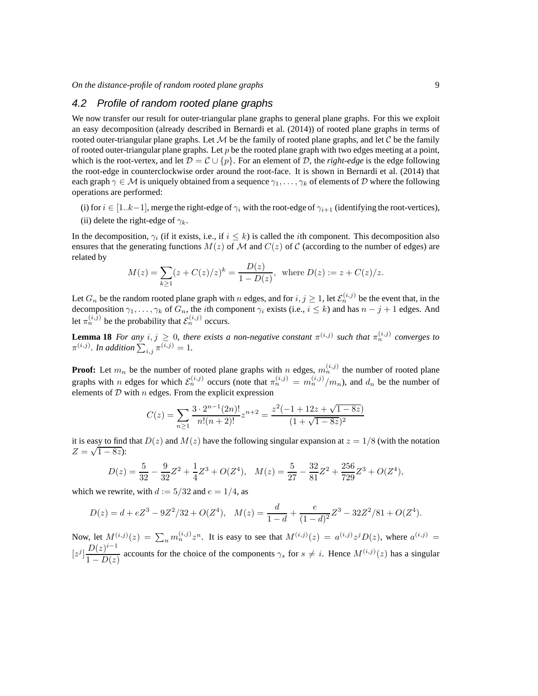#### 4.2 Profile of random rooted plane graphs

We now transfer our result for outer-triangular plane graphs to general plane graphs. For this we exploit an easy decomposition (already described in Bernardi et al. (2014)) of rooted plane graphs in terms of rooted outer-triangular plane graphs. Let  $M$  be the family of rooted plane graphs, and let  $C$  be the family of rooted outer-triangular plane graphs. Let  $p$  be the rooted plane graph with two edges meeting at a point, which is the root-vertex, and let  $\mathcal{D} = \mathcal{C} \cup \{p\}$ . For an element of  $\mathcal{D}$ , the *right-edge* is the edge following the root-edge in counterclockwise order around the root-face. It is shown in Bernardi et al. (2014) that each graph  $\gamma \in \mathcal{M}$  is uniquely obtained from a sequence  $\gamma_1, \ldots, \gamma_k$  of elements of D where the following operations are performed:

- (i) for  $i \in [1..k-1]$ , merge the right-edge of  $\gamma_i$  with the root-edge of  $\gamma_{i+1}$  (identifying the root-vertices),
- (ii) delete the right-edge of  $\gamma_k$ .

In the decomposition,  $\gamma_i$  (if it exists, i.e., if  $i \leq k$ ) is called the *i*th component. This decomposition also ensures that the generating functions  $M(z)$  of M and  $C(z)$  of C (according to the number of edges) are related by

$$
M(z) = \sum_{k \ge 1} (z + C(z)/z)^k = \frac{D(z)}{1 - D(z)}, \text{ where } D(z) := z + C(z)/z.
$$

Let  $G_n$  be the random rooted plane graph with n edges, and for  $i, j \ge 1$ , let  $\mathcal{E}_n^{(i,j)}$  be the event that, in the decomposition  $\gamma_1, \ldots, \gamma_k$  of  $G_n$ , the *i*th component  $\gamma_i$  exists (i.e.,  $i \leq k$ ) and has  $n - j + 1$  edges. And let  $\pi_n^{(i,j)}$  be the probability that  $\mathcal{E}_n^{(i,j)}$  occurs.

**Lemma 18** *For any*  $i, j \geq 0$ , there exists a non-negative constant  $\pi^{(i,j)}$  such that  $\pi^{(i,j)}_n$  converges to  $\pi^{(i,j)}$ . In addition  $\sum_{i,j} \pi^{(i,j)} = 1$ .

**Proof:** Let  $m_n$  be the number of rooted plane graphs with n edges,  $m_n^{(i,j)}$  the number of rooted plane graphs with *n* edges for which  $\mathcal{E}_n^{(i,j)}$  occurs (note that  $\pi_n^{(i,j)} = m_n^{(i,j)}/m_n$ ), and  $d_n$  be the number of elements of  $D$  with  $n$  edges. From the explicit expression

$$
C(z) = \sum_{n\geq 1} \frac{3 \cdot 2^{n-1}(2n)!}{n!(n+2)!} z^{n+2} = \frac{z^2(-1+12z+\sqrt{1-8z})}{(1+\sqrt{1-8z})^2}
$$

it is easy to find that  $D(z)$  and  $M(z)$  have the following singular expansion at  $z = 1/8$  (with the notation  $Z = \sqrt{1 - 8z}$ :

$$
D(z) = \frac{5}{32} - \frac{9}{32}Z^2 + \frac{1}{4}Z^3 + O(Z^4), \quad M(z) = \frac{5}{27} - \frac{32}{81}Z^2 + \frac{256}{729}Z^3 + O(Z^4),
$$

which we rewrite, with  $d := 5/32$  and  $e = 1/4$ , as

$$
D(z) = d + eZ^{3} - 9Z^{2}/32 + O(Z^{4}), \quad M(z) = \frac{d}{1 - d} + \frac{e}{(1 - d)^{2}}Z^{3} - 32Z^{2}/81 + O(Z^{4}).
$$

Now, let  $M^{(i,j)}(z) = \sum_n m^{(i,j)}_n z^n$ . It is easy to see that  $M^{(i,j)}(z) = a^{(i,j)} z^j D(z)$ , where  $a^{(i,j)} =$  $[z^j] \frac{D(z)^{i-1}}{1-\mathcal{D}(z)}$  $\frac{D(z)}{1 - D(z)}$  accounts for the choice of the components  $\gamma_s$  for  $s \neq i$ . Hence  $M^{(i,j)}(z)$  has a singular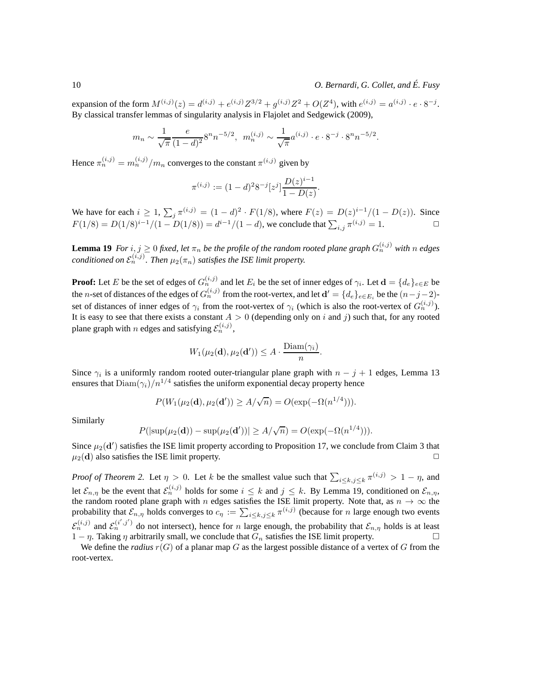expansion of the form  $M^{(i,j)}(z) = d^{(i,j)} + e^{(i,j)}Z^{3/2} + g^{(i,j)}Z^2 + O(Z^4)$ , with  $e^{(i,j)} = a^{(i,j)} \cdot e \cdot 8^{-j}$ . By classical transfer lemmas of singularity analysis in Flajolet and Sedgewick (2009),

$$
m_n \sim \frac{1}{\sqrt{\pi}} \frac{e}{(1-d)^2} 8^n n^{-5/2}, \quad m_n^{(i,j)} \sim \frac{1}{\sqrt{\pi}} a^{(i,j)} \cdot e \cdot 8^{-j} \cdot 8^n n^{-5/2}.
$$

Hence  $\pi_n^{(i,j)} = m_n^{(i,j)}/m_n$  converges to the constant  $\pi^{(i,j)}$  given by

$$
\pi^{(i,j)} := (1-d)^2 8^{-j} [z^j] \frac{D(z)^{i-1}}{1-D(z)}
$$

.

We have for each  $i \ge 1$ ,  $\sum_j \pi^{(i,j)} = (1-d)^2 \cdot F(1/8)$ , where  $F(z) = D(z)^{i-1}/(1 - D(z))$ . Since  $F(1/8) = D(1/8)^{i-1}/(1 - D(1/8)) = d^{i-1}/(1 - d)$ , we conclude that  $\sum_{i,j} \pi^{(i,j)} = 1$ .

**Lemma 19** *For*  $i, j \ge 0$  *fixed, let*  $\pi_n$  *be the profile of the random rooted plane graph*  $G_n^{(i,j)}$  *with* n *edges conditioned on*  $\mathcal{E}_n^{(i,j)}$ . Then  $\mu_2(\pi_n)$  satisfies the ISE limit property.

**Proof:** Let E be the set of edges of  $G_n^{(i,j)}$  and let  $E_i$  be the set of inner edges of  $\gamma_i$ . Let  $\mathbf{d} = \{d_e\}_{e \in E}$  be the *n*-set of distances of the edges of  $G_n^{(i,j)}$  from the root-vertex, and let  $\mathbf{d}' = \{d_e\}_{e \in E_i}$  be the  $(n-j-2)$ set of distances of inner edges of  $\gamma_i$  from the root-vertex of  $\gamma_i$  (which is also the root-vertex of  $G_n^{(i,j)}$ ). It is easy to see that there exists a constant  $A > 0$  (depending only on i and j) such that, for any rooted plane graph with *n* edges and satisfying  $\mathcal{E}_n^{(i,j)}$ ,

$$
W_1(\mu_2(\mathbf{d}), \mu_2(\mathbf{d}')) \leq A \cdot \frac{\text{Diam}(\gamma_i)}{n}.
$$

Since  $\gamma_i$  is a uniformly random rooted outer-triangular plane graph with  $n - j + 1$  edges, Lemma 13 ensures that  $\text{Diam}(\gamma_i)/n^{1/4}$  satisfies the uniform exponential decay property hence

$$
P(W_1(\mu_2(\mathbf{d}), \mu_2(\mathbf{d}')) \ge A/\sqrt{n}) = O(\exp(-\Omega(n^{1/4}))).
$$

Similarly

$$
P(|\sup(\mu_2(\mathbf{d})) - \sup(\mu_2(\mathbf{d}'))| \ge A/\sqrt{n}) = O(\exp(-\Omega(n^{1/4}))).
$$

Since  $\mu_2(\mathbf{d}')$  satisfies the ISE limit property according to Proposition 17, we conclude from Claim 3 that  $\mu_2(\mathbf{d})$  also satisfies the ISE limit property.

*Proof of Theorem 2.* Let  $\eta > 0$ . Let k be the smallest value such that  $\sum_{i \leq k, j \leq k} \pi^{(i,j)} > 1 - \eta$ , and let  $\mathcal{E}_{n,\eta}$  be the event that  $\mathcal{E}_n^{(i,j)}$  holds for some  $i \leq k$  and  $j \leq k$ . By Lemma 19, conditioned on  $\mathcal{E}_{n,\eta}$ , the random rooted plane graph with n edges satisfies the ISE limit property. Note that, as  $n \to \infty$  the probability that  $\mathcal{E}_{n,\eta}$  holds converges to  $c_{\eta} := \sum_{i \leq k, j \leq k} \pi^{(i,j)}$  (because for n large enough two events  $\mathcal{E}_n^{(i,j)}$  and  $\mathcal{E}_n^{(i',j')}$  do not intersect), hence for n large enough, the probability that  $\mathcal{E}_{n,\eta}$  holds is at least  $1 - \eta$ . Taking  $\eta$  arbitrarily small, we conclude that  $G_n$  satisfies the ISE limit property.

We define the *radius*  $r(G)$  of a planar map G as the largest possible distance of a vertex of G from the root-vertex.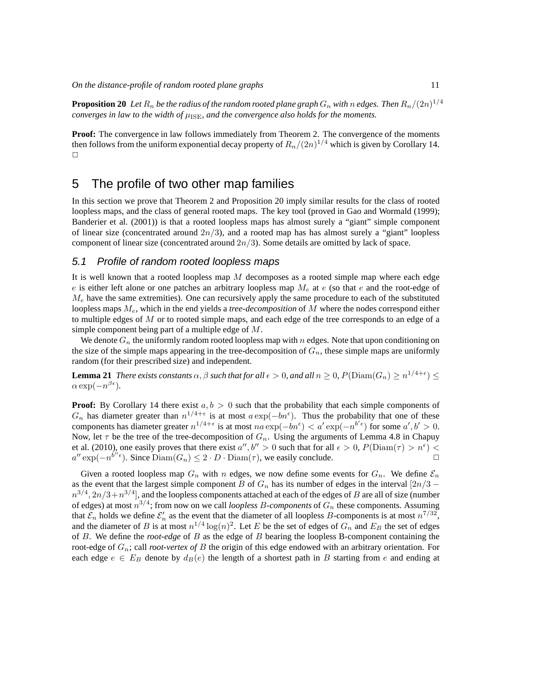${\bf Proposition ~20 }$   $\,$   $Let$   $R_n$   $be$  the radius of the random rooted plane graph  $G_n$  with  $n$  edges. Then  $R_n/(2n)^{1/4}$ *converges in law to the width of*  $\mu_{\text{ISE}}$ , and the convergence also holds for the moments.

**Proof:** The convergence in law follows immediately from Theorem 2. The convergence of the moments then follows from the uniform exponential decay property of  $R_n/(2n)^{1/4}$  which is given by Corollary 14.  $\Box$ 

### 5 The profile of two other map families

In this section we prove that Theorem 2 and Proposition 20 imply similar results for the class of rooted loopless maps, and the class of general rooted maps. The key tool (proved in Gao and Wormald (1999); Banderier et al. (2001)) is that a rooted loopless maps has almost surely a "giant" simple component of linear size (concentrated around  $2n/3$ ), and a rooted map has has almost surely a "giant" loopless component of linear size (concentrated around  $2n/3$ ). Some details are omitted by lack of space.

#### 5.1 Profile of random rooted loopless maps

It is well known that a rooted loopless map  $M$  decomposes as a rooted simple map where each edge e is either left alone or one patches an arbitrary loopless map  $M_e$  at e (so that e and the root-edge of  $M_e$  have the same extremities). One can recursively apply the same procedure to each of the substituted loopless maps Me, which in the end yields a *tree-decomposition* of M where the nodes correspond either to multiple edges of  $M$  or to rooted simple maps, and each edge of the tree corresponds to an edge of a simple component being part of a multiple edge of M.

We denote  $G_n$  the uniformly random rooted loopless map with n edges. Note that upon conditioning on the size of the simple maps appearing in the tree-decomposition of  $G_n$ , these simple maps are uniformly random (for their prescribed size) and independent.

**Lemma 21** *There exists constants*  $\alpha$ ,  $\beta$  *such that for all*  $\epsilon > 0$ , and all  $n \ge 0$ ,  $P(\text{Diam}(G_n) \ge n^{1/4+\epsilon}) \le$  $\alpha \exp(-n^{\beta \epsilon})$ .

**Proof:** By Corollary 14 there exist  $a, b > 0$  such that the probability that each simple components of  $G_n$  has diameter greater than  $n^{1/4+\epsilon}$  is at most  $a \exp(-bn^{\epsilon})$ . Thus the probability that one of these components has diameter greater  $n^{1/4+\epsilon}$  is at most  $na \exp(-bn^{\epsilon}) < a' \exp(-n^{b'\epsilon})$  for some  $a', b' > 0$ . Now, let  $\tau$  be the tree of the tree-decomposition of  $G_n$ . Using the arguments of Lemma 4.8 in Chapuy et al. (2010), one easily proves that there exist  $a'', b'' > 0$  such that for all  $\epsilon > 0$ ,  $P(\text{Diam}(\tau) > n^{\epsilon}) <$  $a'' \exp(-n^{b''\epsilon})$ . Since  $Diam(G_n) \leq 2 \cdot D \cdot Diam(\tau)$ , we easily conclude.

Given a rooted loopless map  $G_n$  with n edges, we now define some events for  $G_n$ . We define  $\mathcal{E}_n$ as the event that the largest simple component B of  $G_n$  has its number of edges in the interval [2n/3 –  $n^{3/4}, 2n/3 + n^{3/4}$ ], and the loopless components attached at each of the edges of  $B$  are all of size (number of edges) at most  $n^{3/4}$ ; from now on we call *loopless B-components* of  $G_n$  these components. Assuming that  $\mathcal{E}_n$  holds we define  $\mathcal{E}'_n$  as the event that the diameter of all loopless B-components is at most  $n^{7/32}$ , and the diameter of B is at most  $n^{1/4} \log(n)^2$ . Let E be the set of edges of  $G_n$  and  $E_B$  the set of edges of B. We define the *root-edge* of B as the edge of B bearing the loopless B-component containing the root-edge of Gn; call *root-vertex of* B the origin of this edge endowed with an arbitrary orientation. For each edge  $e \in E_B$  denote by  $d_B(e)$  the length of a shortest path in B starting from e and ending at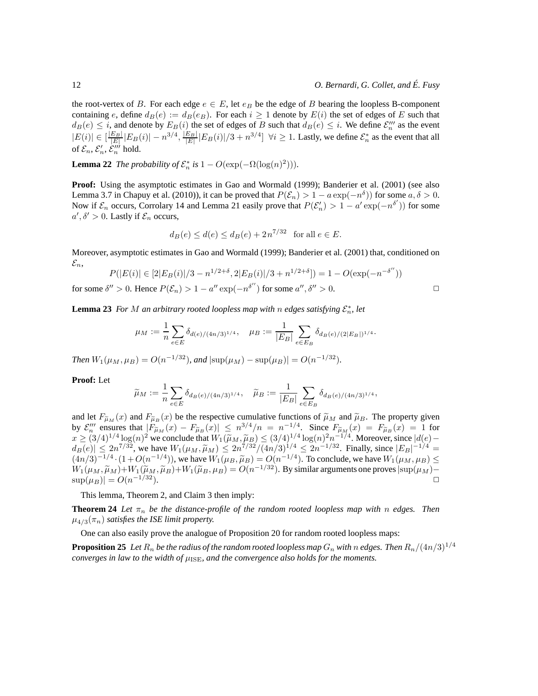the root-vertex of B. For each edge  $e \in E$ , let  $e_B$  be the edge of B bearing the loopless B-component containing e, define  $d_B(e) := d_B(e_B)$ . For each  $i \ge 1$  denote by  $E(i)$  the set of edges of E such that  $d_B(e) \leq i$ , and denote by  $E_B(i)$  the set of edges of B such that  $d_B(e) \leq i$ . We define  $\mathcal{E}_n'''$  as the event  $|E(i)| \in \left[\frac{|E_B|}{|E|} |E_B(i)| - n^{3/4}, \frac{|E_B|}{|E|} |E_B(i)|/3 + n^{3/4}\right]$   $\forall i \ge 1$ . Lastly, we define  $\mathcal{E}_n^*$  as the event that all of  $\mathcal{E}_n$ ,  $\mathcal{E}'_n$ ,  $\mathcal{E}'''_n$  hold.

**Lemma 22** *The probability of*  $\mathcal{E}_n^*$  *is*  $1 - O(\exp(-\Omega(\log(n)^2))).$ 

**Proof:** Using the asymptotic estimates in Gao and Wormald (1999); Banderier et al. (2001) (see also Lemma 3.7 in Chapuy et al. (2010)), it can be proved that  $P(\mathcal{E}_n) > 1 - a \exp(-n^{\delta})$  for some  $a, \delta > 0$ . Now if  $\mathcal{E}_n$  occurs, Corrolary 14 and Lemma 21 easily prove that  $P(\mathcal{E}'_n) > 1 - a' \exp(-n^{\delta'})$  for some  $a', \delta' > 0$ . Lastly if  $\mathcal{E}_n$  occurs,

$$
d_B(e) \le d(e) \le d_B(e) + 2n^{7/32}
$$
 for all  $e \in E$ .

Moreover, asymptotic estimates in Gao and Wormald (1999); Banderier et al. (2001) that, conditioned on  $\varepsilon_n$ 

$$
P(|E(i)| \in [2|E_B(i)|/3 - n^{1/2+\delta}, 2|E_B(i)|/3 + n^{1/2+\delta}]) = 1 - O(\exp(-n^{-\delta''}))
$$
  

$$
\lim_{n \to \infty} S_n^{(n)} > 0.
$$
 Hence  $D(S_n) > 1 - s_n^{(n)} \exp(-n^{\delta''})$  for some  $s_n^{(n)} > 0$ .

for some  $\delta'' > 0$ . Hence  $P(\mathcal{E}_n) > 1 - a'' \exp(-n^{\delta''})$  for some  $a'', \delta'' > 0$ .

**Lemma 23** For M an arbitrary rooted loopless map with n edges satisfying 
$$
\mathcal{E}_n^*
$$
, let

$$
\mu_M := \frac{1}{n} \sum_{e \in E} \delta_{d(e)/(4n/3)^{1/4}}, \quad \mu_B := \frac{1}{|E_B|} \sum_{e \in E_B} \delta_{d_B(e)/(2|E_B|)^{1/4}}.
$$

*Then*  $W_1(\mu_M, \mu_B) = O(n^{-1/32})$ , and  $|\sup(\mu_M) - \sup(\mu_B)| = O(n^{-1/32})$ .

**Proof:** Let

$$
\widetilde{\mu}_M := \frac{1}{n} \sum_{e \in E} \delta_{d_B(e)/(4n/3)^{1/4}}, \quad \widetilde{\mu}_B := \frac{1}{|E_B|} \sum_{e \in E_B} \delta_{d_B(e)/(4n/3)^{1/4}},
$$

and let  $F_{\tilde{\mu}_M}(x)$  and  $F_{\tilde{\mu}_B}(x)$  be the respective cumulative functions of  $\tilde{\mu}_M$  and  $\tilde{\mu}_B$ . The property given by  $\mathcal{E}_n'''$  ensures that  $|F_{\tilde{\mu}_M}(x) - F_{\tilde{\mu}_B}(x)| \leq n^{3/4}/n = n^{-1/4}$ . Since  $F_{\tilde{\mu}_M}(x) = F_{\tilde{\mu}_B}(x) = 1$  for  $x \ge (3/4)^{1/4} \log(n)^2$  we conclude that  $W_1(\tilde{\mu}_M, \tilde{\mu}_B) \le (3/4)^{1/4} \log(n)^2 n^{-1/4}$ . Moreover, since  $|d(e)$  $d_B(e) \leq 2n^{7/32}$ , we have  $W_1(\mu_M, \tilde{\mu}_M) \leq 2n^{7/32}/(4n/3)^{1/4} \leq 2n^{-1/32}$ . Finally, since  $|E_B|^{-1/4} =$  $(4n/3)^{-1/4} \cdot (1+O(n^{-1/4}))$ , we have  $W_1(\mu_B, \tilde{\mu}_B) = O(n^{-1/4})$ . To conclude, we have  $W_1(\mu_M, \mu_B) \le$  $W_1(\mu_M, \widetilde{\mu}_M) + W_1(\widetilde{\mu}_M, \widetilde{\mu}_B) + W_1(\widetilde{\mu}_B, \mu_B) = O(n^{-1/32})$ . By similar arguments one proves  $|\sup(\mu_M) |\sup(\mu_B)| = O(n^{-1/32}).$  $-1/32$ ).

This lemma, Theorem 2, and Claim 3 then imply:

**Theorem 24** Let  $\pi_n$  be the distance-profile of the random rooted loopless map with n edges. Then  $\mu_{4/3}(\pi_n)$  *satisfies the ISE limit property.* 

One can also easily prove the analogue of Proposition 20 for random rooted loopless maps:

**Proposition 25** *Let*  $R_n$  *be the radius of the random rooted loopless map*  $G_n$  *with* n edges. Then  $R_n/(4n/3)^{1/4}$ *converges in law to the width of*  $\mu_{\text{ISF}}$ *, and the convergence also holds for the moments.*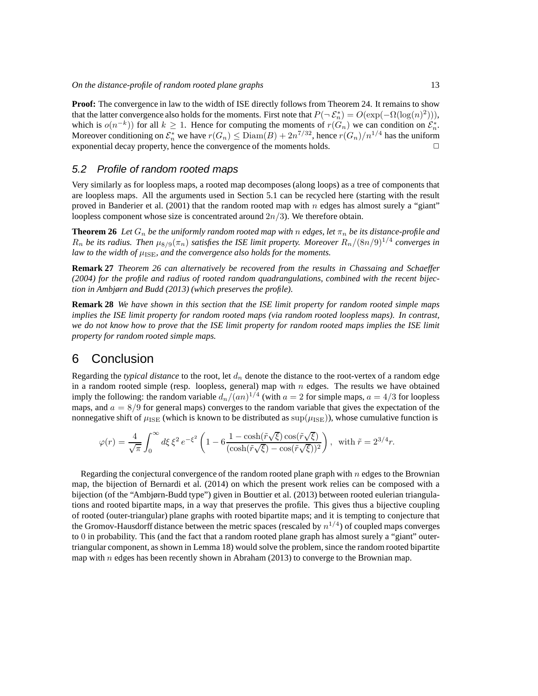**Proof:** The convergence in law to the width of ISE directly follows from Theorem 24. It remains to show that the latter convergence also holds for the moments. First note that  $P(\neg \mathcal{E}_n^*) = O(\exp(-\Omega(\log(n)^2))),$ which is  $o(n^{-k})$  for all  $k \geq 1$ . Hence for computing the moments of  $r(G_n)$  we can condition on  $\mathcal{E}_n^*$ . Moreover conditioning on  $\mathcal{E}_n^*$  we have  $r(G_n) \leq \text{Diam}(B) + 2n^{7/32}$ , hence  $r(G_n)/n^{1/4}$  has the uniform exponential decay property, hence the convergence of the moments holds.  $\Box$ 

#### 5.2 Profile of random rooted maps

Very similarly as for loopless maps, a rooted map decomposes (along loops) as a tree of components that are loopless maps. All the arguments used in Section 5.1 can be recycled here (starting with the result proved in Banderier et al. (2001) that the random rooted map with n edges has almost surely a "giant" loopless component whose size is concentrated around  $2n/3$ ). We therefore obtain.

**Theorem 26** *Let*  $G_n$  *be the uniformly random rooted map with* n *edges, let*  $\pi_n$  *be its distance-profile and*  $R_n$  be its radius. Then  $\mu_{8/9}(\pi_n)$  satisfies the ISE limit property. Moreover  $R_n/(8n/9)^{1/4}$  converges in *law to the width of*  $\mu_{\text{ISE}}$ *, and the convergence also holds for the moments.* 

**Remark 27** *Theorem 26 can alternatively be recovered from the results in Chassaing and Schaeffer (2004) for the profile and radius of rooted random quadrangulations, combined with the recent bijection in Ambjørn and Budd (2013) (which preserves the profile).*

**Remark 28** *We have shown in this section that the ISE limit property for random rooted simple maps implies the ISE limit property for random rooted maps (via random rooted loopless maps). In contrast, we do not know how to prove that the ISE limit property for random rooted maps implies the ISE limit property for random rooted simple maps.*

# 6 Conclusion

Regarding the *typical distance* to the root, let  $d_n$  denote the distance to the root-vertex of a random edge in a random rooted simple (resp. loopless, general) map with  $n$  edges. The results we have obtained imply the following: the random variable  $d_n/(an)^{1/4}$  (with  $a = 2$  for simple maps,  $a = 4/3$  for loopless maps, and  $a = 8/9$  for general maps) converges to the random variable that gives the expectation of the nonnegative shift of  $\mu_{\rm{ISE}}$  (which is known to be distributed as  $\sup(\mu_{\rm{ISE}})$ ), whose cumulative function is

$$
\varphi(r) = \frac{4}{\sqrt{\pi}} \int_0^\infty d\xi \, \xi^2 \, e^{-\xi^2} \left( 1 - 6 \frac{1 - \cosh(\tilde{r}\sqrt{\xi})\cos(\tilde{r}\sqrt{\xi})}{(\cosh(\tilde{r}\sqrt{\xi}) - \cos(\tilde{r}\sqrt{\xi}))^2} \right), \quad \text{with } \tilde{r} = 2^{3/4}r.
$$

Regarding the conjectural convergence of the random rooted plane graph with  $n$  edges to the Brownian map, the bijection of Bernardi et al. (2014) on which the present work relies can be composed with a bijection (of the "Ambjørn-Budd type") given in Bouttier et al. (2013) between rooted eulerian triangulations and rooted bipartite maps, in a way that preserves the profile. This gives thus a bijective coupling of rooted (outer-triangular) plane graphs with rooted bipartite maps; and it is tempting to conjecture that the Gromov-Hausdorff distance between the metric spaces (rescaled by  $n^{1/4}$ ) of coupled maps converges to 0 in probability. This (and the fact that a random rooted plane graph has almost surely a "giant" outertriangular component, as shown in Lemma 18) would solve the problem, since the random rooted bipartite map with  $n$  edges has been recently shown in Abraham (2013) to converge to the Brownian map.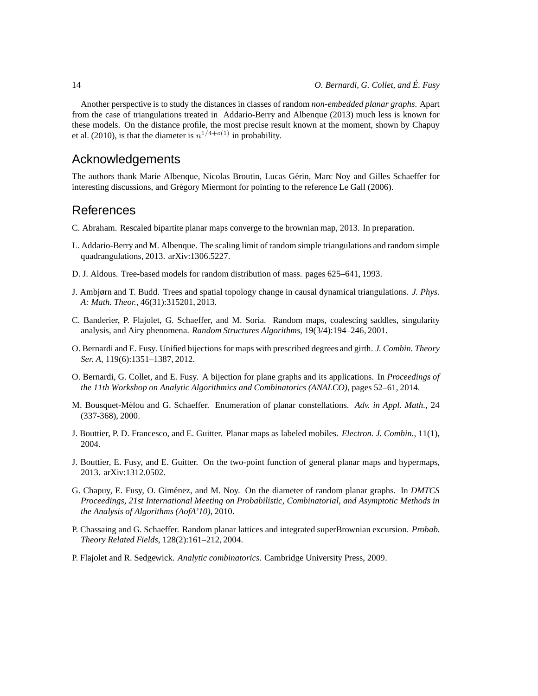Another perspective is to study the distances in classes of random *non-embedded planar graphs*. Apart from the case of triangulations treated in Addario-Berry and Albenque (2013) much less is known for these models. On the distance profile, the most precise result known at the moment, shown by Chapuy et al. (2010), is that the diameter is  $n^{1/4+o(1)}$  in probability.

## Acknowledgements

The authors thank Marie Albenque, Nicolas Broutin, Lucas Gérin, Marc Noy and Gilles Schaeffer for interesting discussions, and Grégory Miermont for pointing to the reference Le Gall (2006).

# References

- C. Abraham. Rescaled bipartite planar maps converge to the brownian map, 2013. In preparation.
- L. Addario-Berry and M. Albenque. The scaling limit of random simple triangulations and random simple quadrangulations, 2013. arXiv:1306.5227.
- D. J. Aldous. Tree-based models for random distribution of mass. pages 625–641, 1993.
- J. Ambjørn and T. Budd. Trees and spatial topology change in causal dynamical triangulations. *J. Phys. A: Math. Theor.*, 46(31):315201, 2013.
- C. Banderier, P. Flajolet, G. Schaeffer, and M. Soria. Random maps, coalescing saddles, singularity analysis, and Airy phenomena. *Random Structures Algorithms*, 19(3/4):194–246, 2001.
- O. Bernardi and E. Fusy. Unified bijections for maps with prescribed degrees and girth. *J. Combin. Theory Ser. A*, 119(6):1351–1387, 2012.
- O. Bernardi, G. Collet, and E. Fusy. A bijection for plane graphs and its applications. In *Proceedings of the 11th Workshop on Analytic Algorithmics and Combinatorics (ANALCO)*, pages 52–61, 2014.
- M. Bousquet-M´elou and G. Schaeffer. Enumeration of planar constellations. *Adv. in Appl. Math.*, 24 (337-368), 2000.
- J. Bouttier, P. D. Francesco, and E. Guitter. Planar maps as labeled mobiles. *Electron. J. Combin.*, 11(1), 2004.
- J. Bouttier, E. Fusy, and E. Guitter. On the two-point function of general planar maps and hypermaps, 2013. arXiv:1312.0502.
- G. Chapuy, E. Fusy, O. Giménez, and M. Noy. On the diameter of random planar graphs. In *DMTCS Proceedings, 21st International Meeting on Probabilistic, Combinatorial, and Asymptotic Methods in the Analysis of Algorithms (AofA'10)*, 2010.
- P. Chassaing and G. Schaeffer. Random planar lattices and integrated superBrownian excursion. *Probab. Theory Related Fields*, 128(2):161–212, 2004.
- P. Flajolet and R. Sedgewick. *Analytic combinatorics*. Cambridge University Press, 2009.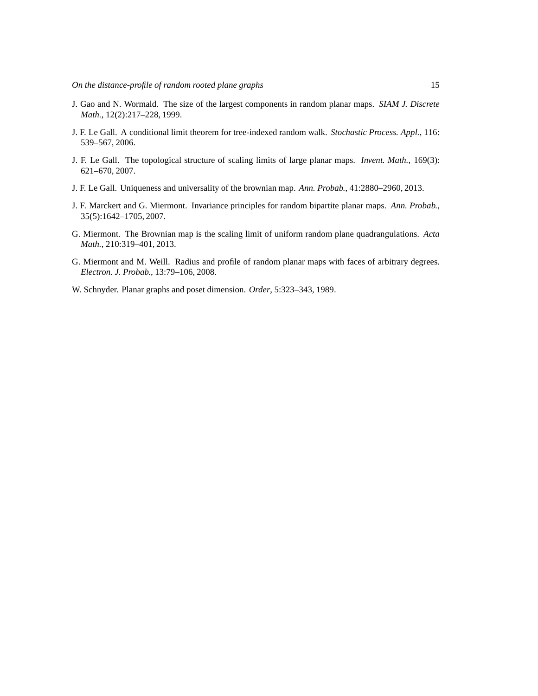- J. Gao and N. Wormald. The size of the largest components in random planar maps. *SIAM J. Discrete Math.*, 12(2):217–228, 1999.
- J. F. Le Gall. A conditional limit theorem for tree-indexed random walk. *Stochastic Process. Appl.*, 116: 539–567, 2006.
- J. F. Le Gall. The topological structure of scaling limits of large planar maps. *Invent. Math.*, 169(3): 621–670, 2007.
- J. F. Le Gall. Uniqueness and universality of the brownian map. *Ann. Probab.*, 41:2880–2960, 2013.
- J. F. Marckert and G. Miermont. Invariance principles for random bipartite planar maps. *Ann. Probab.*, 35(5):1642–1705, 2007.
- G. Miermont. The Brownian map is the scaling limit of uniform random plane quadrangulations. *Acta Math.*, 210:319–401, 2013.
- G. Miermont and M. Weill. Radius and profile of random planar maps with faces of arbitrary degrees. *Electron. J. Probab.*, 13:79–106, 2008.
- W. Schnyder. Planar graphs and poset dimension. *Order*, 5:323–343, 1989.